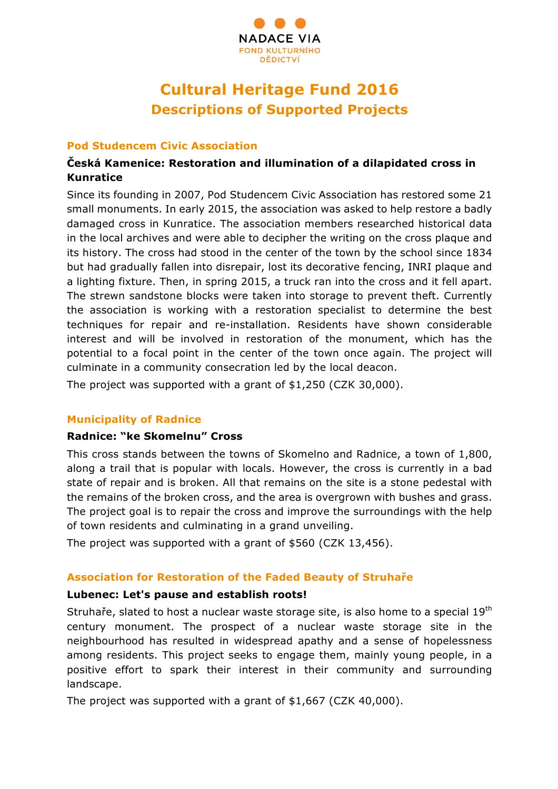

# **Cultural Heritage Fund 2016 Descriptions of Supported Projects**

#### **Pod Studencem Civic Association**

# **Česká Kamenice: Restoration and illumination of a dilapidated cross in Kunratice**

Since its founding in 2007, Pod Studencem Civic Association has restored some 21 small monuments. In early 2015, the association was asked to help restore a badly damaged cross in Kunratice. The association members researched historical data in the local archives and were able to decipher the writing on the cross plaque and its history. The cross had stood in the center of the town by the school since 1834 but had gradually fallen into disrepair, lost its decorative fencing, INRI plaque and a lighting fixture. Then, in spring 2015, a truck ran into the cross and it fell apart. The strewn sandstone blocks were taken into storage to prevent theft. Currently the association is working with a restoration specialist to determine the best techniques for repair and re-installation. Residents have shown considerable interest and will be involved in restoration of the monument, which has the potential to a focal point in the center of the town once again. The project will culminate in a community consecration led by the local deacon.

The project was supported with a grant of \$1,250 (CZK 30,000).

## **Municipality of Radnice**

#### **Radnice: "ke Skomelnu" Cross**

This cross stands between the towns of Skomelno and Radnice, a town of 1,800, along a trail that is popular with locals. However, the cross is currently in a bad state of repair and is broken. All that remains on the site is a stone pedestal with the remains of the broken cross, and the area is overgrown with bushes and grass. The project goal is to repair the cross and improve the surroundings with the help of town residents and culminating in a grand unveiling.

The project was supported with a grant of \$560 (CZK 13,456).

## **Association for Restoration of the Faded Beauty of Struhaře**

## **Lubenec: Let's pause and establish roots!**

Struhaře, slated to host a nuclear waste storage site, is also home to a special 19th century monument. The prospect of a nuclear waste storage site in the neighbourhood has resulted in widespread apathy and a sense of hopelessness among residents. This project seeks to engage them, mainly young people, in a positive effort to spark their interest in their community and surrounding landscape.

The project was supported with a grant of \$1,667 (CZK 40,000).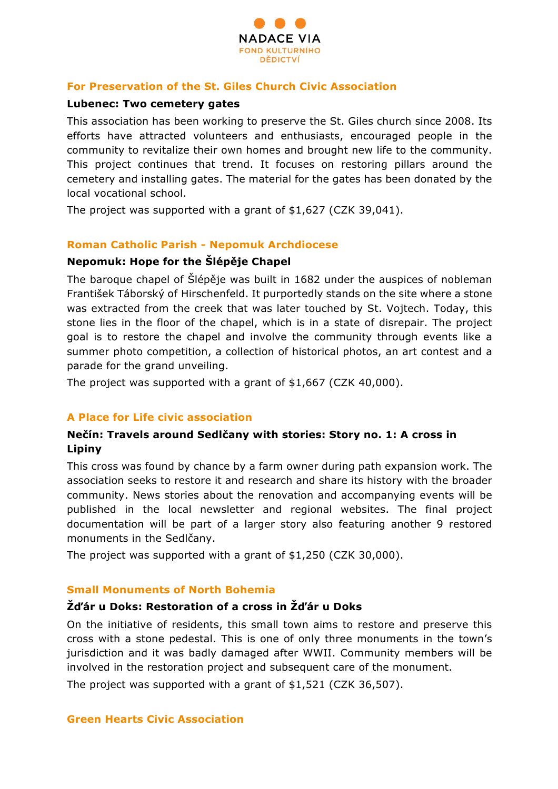

#### **For Preservation of the St. Giles Church Civic Association**

#### **Lubenec: Two cemetery gates**

This association has been working to preserve the St. Giles church since 2008. Its efforts have attracted volunteers and enthusiasts, encouraged people in the community to revitalize their own homes and brought new life to the community. This project continues that trend. It focuses on restoring pillars around the cemetery and installing gates. The material for the gates has been donated by the local vocational school.

The project was supported with a grant of \$1,627 (CZK 39,041).

#### **Roman Catholic Parish - Nepomuk Archdiocese**

## **Nepomuk: Hope for the Šlépěje Chapel**

The baroque chapel of Šlépěje was built in 1682 under the auspices of nobleman František Táborský of Hirschenfeld. It purportedly stands on the site where a stone was extracted from the creek that was later touched by St. Vojtech. Today, this stone lies in the floor of the chapel, which is in a state of disrepair. The project goal is to restore the chapel and involve the community through events like a summer photo competition, a collection of historical photos, an art contest and a parade for the grand unveiling.

The project was supported with a grant of \$1,667 (CZK 40,000).

## **A Place for Life civic association**

## **Nečín: Travels around Sedlčany with stories: Story no. 1: A cross in Lipiny**

This cross was found by chance by a farm owner during path expansion work. The association seeks to restore it and research and share its history with the broader community. News stories about the renovation and accompanying events will be published in the local newsletter and regional websites. The final project documentation will be part of a larger story also featuring another 9 restored monuments in the Sedlčany.

The project was supported with a grant of \$1,250 (CZK 30,000).

#### **Small Monuments of North Bohemia**

## **Žďár u Doks: Restoration of a cross in Žďár u Doks**

On the initiative of residents, this small town aims to restore and preserve this cross with a stone pedestal. This is one of only three monuments in the town's jurisdiction and it was badly damaged after WWII. Community members will be involved in the restoration project and subsequent care of the monument.

The project was supported with a grant of \$1,521 (CZK 36,507).

## **Green Hearts Civic Association**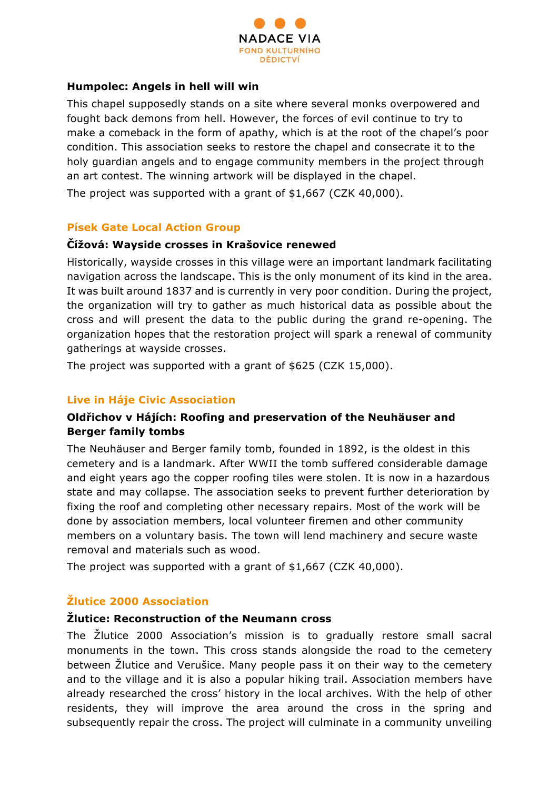

#### **Humpolec: Angels in hell will win**

This chapel supposedly stands on a site where several monks overpowered and fought back demons from hell. However, the forces of evil continue to try to make a comeback in the form of apathy, which is at the root of the chapel's poor condition. This association seeks to restore the chapel and consecrate it to the holy guardian angels and to engage community members in the project through an art contest. The winning artwork will be displayed in the chapel.

The project was supported with a grant of \$1,667 (CZK 40,000).

## **Písek Gate Local Action Group**

#### **Čížová: Wayside crosses in Krašovice renewed**

Historically, wayside crosses in this village were an important landmark facilitating navigation across the landscape. This is the only monument of its kind in the area. It was built around 1837 and is currently in very poor condition. During the project, the organization will try to gather as much historical data as possible about the cross and will present the data to the public during the grand re-opening. The organization hopes that the restoration project will spark a renewal of community gatherings at wayside crosses.

The project was supported with a grant of \$625 (CZK 15,000).

## **Live in Háje Civic Association**

## **Oldřichov v Hájích: Roofing and preservation of the Neuhäuser and Berger family tombs**

The Neuhäuser and Berger family tomb, founded in 1892, is the oldest in this cemetery and is a landmark. After WWII the tomb suffered considerable damage and eight years ago the copper roofing tiles were stolen. It is now in a hazardous state and may collapse. The association seeks to prevent further deterioration by fixing the roof and completing other necessary repairs. Most of the work will be done by association members, local volunteer firemen and other community members on a voluntary basis. The town will lend machinery and secure waste removal and materials such as wood.

The project was supported with a grant of \$1,667 (CZK 40,000).

# **Žlutice 2000 Association**

## **Žlutice: Reconstruction of the Neumann cross**

The Žlutice 2000 Association's mission is to gradually restore small sacral monuments in the town. This cross stands alongside the road to the cemetery between Žlutice and Verušice. Many people pass it on their way to the cemetery and to the village and it is also a popular hiking trail. Association members have already researched the cross' history in the local archives. With the help of other residents, they will improve the area around the cross in the spring and subsequently repair the cross. The project will culminate in a community unveiling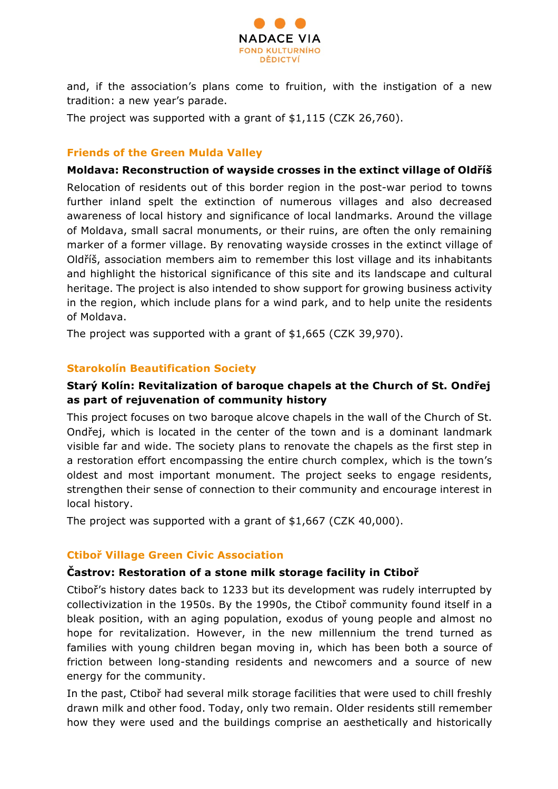

and, if the association's plans come to fruition, with the instigation of a new tradition: a new year's parade.

The project was supported with a grant of \$1,115 (CZK 26,760).

## **Friends of the Green Mulda Valley**

#### **Moldava: Reconstruction of wayside crosses in the extinct village of Oldříš**

Relocation of residents out of this border region in the post-war period to towns further inland spelt the extinction of numerous villages and also decreased awareness of local history and significance of local landmarks. Around the village of Moldava, small sacral monuments, or their ruins, are often the only remaining marker of a former village. By renovating wayside crosses in the extinct village of Oldříš, association members aim to remember this lost village and its inhabitants and highlight the historical significance of this site and its landscape and cultural heritage. The project is also intended to show support for growing business activity in the region, which include plans for a wind park, and to help unite the residents of Moldava.

The project was supported with a grant of \$1,665 (CZK 39,970).

## **Starokolín Beautification Society**

## **Starý Kolín: Revitalization of baroque chapels at the Church of St. Ondřej as part of rejuvenation of community history**

This project focuses on two baroque alcove chapels in the wall of the Church of St. Ondřej, which is located in the center of the town and is a dominant landmark visible far and wide. The society plans to renovate the chapels as the first step in a restoration effort encompassing the entire church complex, which is the town's oldest and most important monument. The project seeks to engage residents, strengthen their sense of connection to their community and encourage interest in local history.

The project was supported with a grant of \$1,667 (CZK 40,000).

## **Ctiboř Village Green Civic Association**

## **Častrov: Restoration of a stone milk storage facility in Ctiboř**

Ctiboř's history dates back to 1233 but its development was rudely interrupted by collectivization in the 1950s. By the 1990s, the Ctiboř community found itself in a bleak position, with an aging population, exodus of young people and almost no hope for revitalization. However, in the new millennium the trend turned as families with young children began moving in, which has been both a source of friction between long-standing residents and newcomers and a source of new energy for the community.

In the past, Ctiboř had several milk storage facilities that were used to chill freshly drawn milk and other food. Today, only two remain. Older residents still remember how they were used and the buildings comprise an aesthetically and historically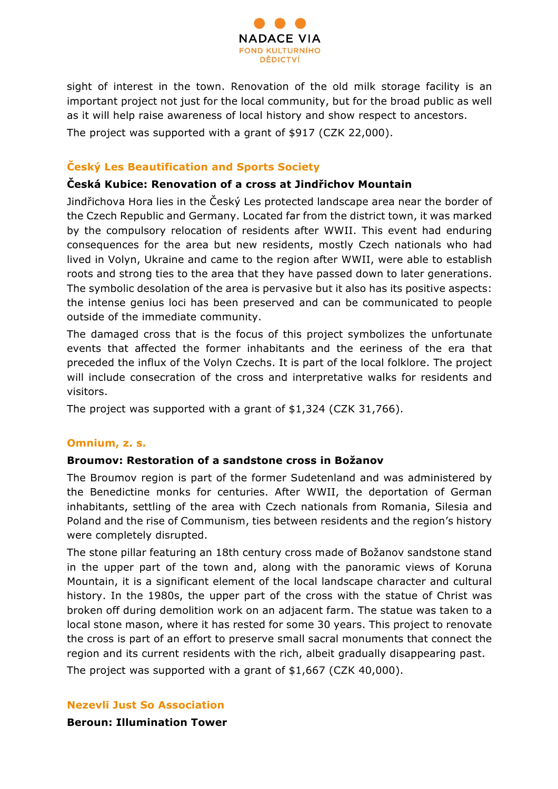

sight of interest in the town. Renovation of the old milk storage facility is an important project not just for the local community, but for the broad public as well as it will help raise awareness of local history and show respect to ancestors.

The project was supported with a grant of \$917 (CZK 22,000).

# **Český Les Beautification and Sports Society**

## **Česká Kubice: Renovation of a cross at Jindřichov Mountain**

Jindřichova Hora lies in the Český Les protected landscape area near the border of the Czech Republic and Germany. Located far from the district town, it was marked by the compulsory relocation of residents after WWII. This event had enduring consequences for the area but new residents, mostly Czech nationals who had lived in Volyn, Ukraine and came to the region after WWII, were able to establish roots and strong ties to the area that they have passed down to later generations. The symbolic desolation of the area is pervasive but it also has its positive aspects: the intense genius loci has been preserved and can be communicated to people outside of the immediate community.

The damaged cross that is the focus of this project symbolizes the unfortunate events that affected the former inhabitants and the eeriness of the era that preceded the influx of the Volyn Czechs. It is part of the local folklore. The project will include consecration of the cross and interpretative walks for residents and visitors.

The project was supported with a grant of \$1,324 (CZK 31,766).

# **Omnium, z. s.**

## **Broumov: Restoration of a sandstone cross in Božanov**

The Broumov region is part of the former Sudetenland and was administered by the Benedictine monks for centuries. After WWII, the deportation of German inhabitants, settling of the area with Czech nationals from Romania, Silesia and Poland and the rise of Communism, ties between residents and the region's history were completely disrupted.

The stone pillar featuring an 18th century cross made of Božanov sandstone stand in the upper part of the town and, along with the panoramic views of Koruna Mountain, it is a significant element of the local landscape character and cultural history. In the 1980s, the upper part of the cross with the statue of Christ was broken off during demolition work on an adjacent farm. The statue was taken to a local stone mason, where it has rested for some 30 years. This project to renovate the cross is part of an effort to preserve small sacral monuments that connect the region and its current residents with the rich, albeit gradually disappearing past.

The project was supported with a grant of \$1,667 (CZK 40,000).

## **Nezevli Just So Association**

**Beroun: Illumination Tower**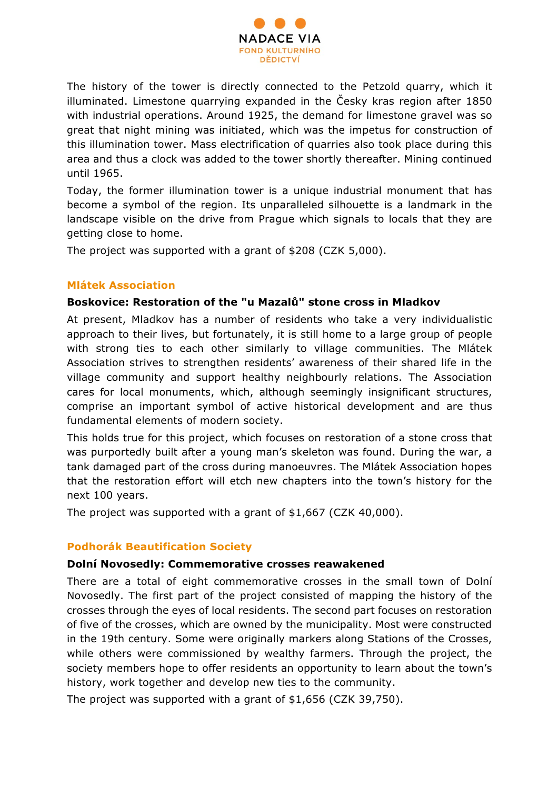

The history of the tower is directly connected to the Petzold quarry, which it illuminated. Limestone quarrying expanded in the Česky kras region after 1850 with industrial operations. Around 1925, the demand for limestone gravel was so great that night mining was initiated, which was the impetus for construction of this illumination tower. Mass electrification of quarries also took place during this area and thus a clock was added to the tower shortly thereafter. Mining continued until 1965.

Today, the former illumination tower is a unique industrial monument that has become a symbol of the region. Its unparalleled silhouette is a landmark in the landscape visible on the drive from Prague which signals to locals that they are getting close to home.

The project was supported with a grant of \$208 (CZK 5,000).

#### **Mlátek Association**

#### **Boskovice: Restoration of the "u Mazalů" stone cross in Mladkov**

At present, Mladkov has a number of residents who take a very individualistic approach to their lives, but fortunately, it is still home to a large group of people with strong ties to each other similarly to village communities. The Mlátek Association strives to strengthen residents' awareness of their shared life in the village community and support healthy neighbourly relations. The Association cares for local monuments, which, although seemingly insignificant structures, comprise an important symbol of active historical development and are thus fundamental elements of modern society.

This holds true for this project, which focuses on restoration of a stone cross that was purportedly built after a young man's skeleton was found. During the war, a tank damaged part of the cross during manoeuvres. The Mlátek Association hopes that the restoration effort will etch new chapters into the town's history for the next 100 years.

The project was supported with a grant of \$1,667 (CZK 40,000).

## **Podhorák Beautification Society**

#### **Dolní Novosedly: Commemorative crosses reawakened**

There are a total of eight commemorative crosses in the small town of Dolní Novosedly. The first part of the project consisted of mapping the history of the crosses through the eyes of local residents. The second part focuses on restoration of five of the crosses, which are owned by the municipality. Most were constructed in the 19th century. Some were originally markers along Stations of the Crosses, while others were commissioned by wealthy farmers. Through the project, the society members hope to offer residents an opportunity to learn about the town's history, work together and develop new ties to the community.

The project was supported with a grant of \$1,656 (CZK 39,750).